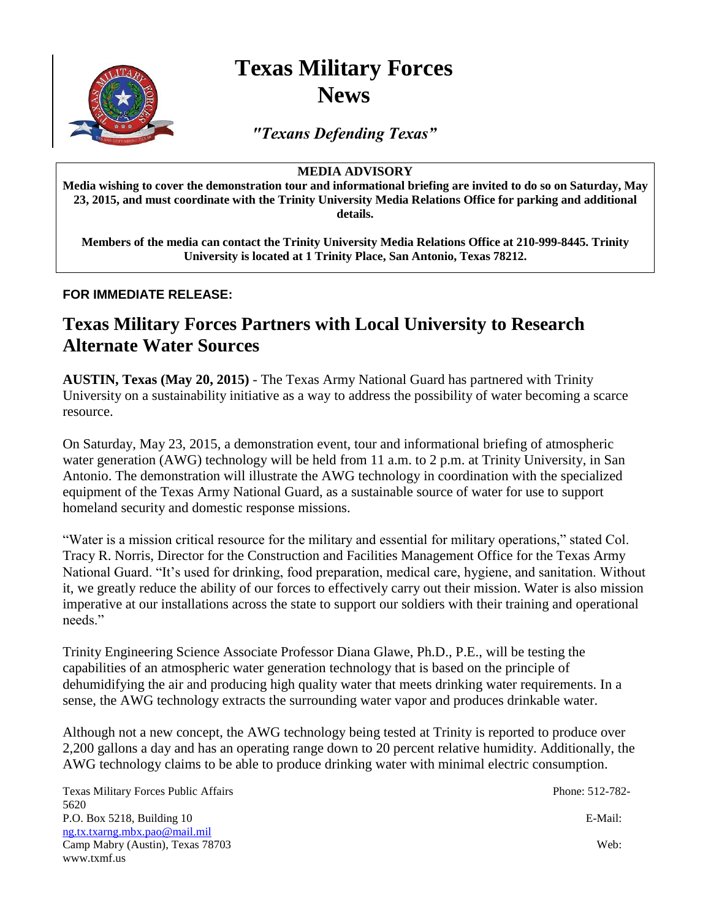

# **Texas Military Forces News**

*"Texans Defending Texas"*

### **MEDIA ADVISORY**

**Media wishing to cover the demonstration tour and informational briefing are invited to do so on Saturday, May 23, 2015, and must coordinate with the Trinity University Media Relations Office for parking and additional details.**

**Members of the media can contact the Trinity University Media Relations Office at 210-999-8445. Trinity University is located at 1 Trinity Place, San Antonio, Texas 78212.**

### **FOR IMMEDIATE RELEASE:**

## **Texas Military Forces Partners with Local University to Research Alternate Water Sources**

**AUSTIN, Texas (May 20, 2015)** - The Texas Army National Guard has partnered with Trinity University on a sustainability initiative as a way to address the possibility of water becoming a scarce resource.

On Saturday, May 23, 2015, a demonstration event, tour and informational briefing of atmospheric water generation (AWG) technology will be held from 11 a.m. to 2 p.m. at Trinity University, in San Antonio. The demonstration will illustrate the AWG technology in coordination with the specialized equipment of the Texas Army National Guard, as a sustainable source of water for use to support homeland security and domestic response missions.

"Water is a mission critical resource for the military and essential for military operations," stated Col. Tracy R. Norris, Director for the Construction and Facilities Management Office for the Texas Army National Guard. "It's used for drinking, food preparation, medical care, hygiene, and sanitation. Without it, we greatly reduce the ability of our forces to effectively carry out their mission. Water is also mission imperative at our installations across the state to support our soldiers with their training and operational needs."

Trinity Engineering Science Associate Professor Diana Glawe, Ph.D., P.E., will be testing the capabilities of an atmospheric water generation technology that is based on the principle of dehumidifying the air and producing high quality water that meets drinking water requirements. In a sense, the AWG technology extracts the surrounding water vapor and produces drinkable water.

Although not a new concept, the AWG technology being tested at Trinity is reported to produce over 2,200 gallons a day and has an operating range down to 20 percent relative humidity. Additionally, the AWG technology claims to be able to produce drinking water with minimal electric consumption.

Texas Military Forces Public Affairs Phone: 512-782- 5620 P.O. Box 5218, Building 10 E-Mail: ng.tx.txarng.mbx.pao@mail.mil Camp Mabry (Austin), Texas 78703 Web: www.txmf.us